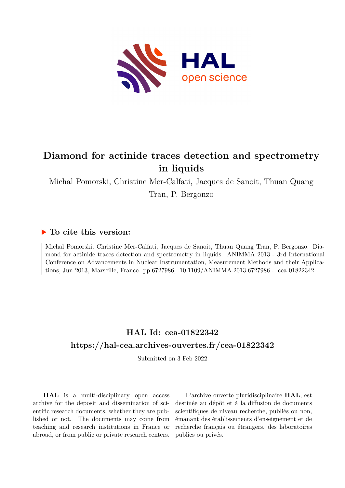

## **Diamond for actinide traces detection and spectrometry in liquids**

Michal Pomorski, Christine Mer-Calfati, Jacques de Sanoit, Thuan Quang Tran, P. Bergonzo

### **To cite this version:**

Michal Pomorski, Christine Mer-Calfati, Jacques de Sanoit, Thuan Quang Tran, P. Bergonzo. Diamond for actinide traces detection and spectrometry in liquids. ANIMMA 2013 - 3rd International Conference on Advancements in Nuclear Instrumentation, Measurement Methods and their Applications, Jun 2013, Marseille, France. pp.6727986, 10.1109/ANIMMA.2013.6727986. cea-01822342

## **HAL Id: cea-01822342 <https://hal-cea.archives-ouvertes.fr/cea-01822342>**

Submitted on 3 Feb 2022

**HAL** is a multi-disciplinary open access archive for the deposit and dissemination of scientific research documents, whether they are published or not. The documents may come from teaching and research institutions in France or abroad, or from public or private research centers.

L'archive ouverte pluridisciplinaire **HAL**, est destinée au dépôt et à la diffusion de documents scientifiques de niveau recherche, publiés ou non, émanant des établissements d'enseignement et de recherche français ou étrangers, des laboratoires publics ou privés.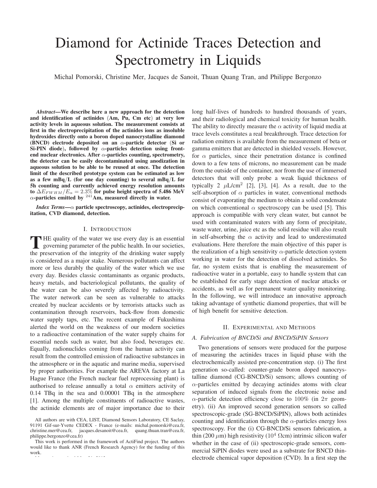# Diamond for Actinide Traces Detection and Spectrometry in Liquids

Michal Pomorski, Christine Mer, Jacques de Sanoit, Thuan Quang Tran, and Philippe Bergonzo

*Abstract*—We describe here a new approach for the detection and identification of actinides (Am, Pu, Cm etc) at very low activity levels in aqueous solution. The measurement consists at first in the electroprecipitation of the actinides ions as insoluble hydroxides directly onto a boron doped nanocrystalline diamond (BNCD) electrode deposited on an  $\alpha$ -particle detector (Si or Si-PIN diode), followed by  $\alpha$ -particles detection using frontend nuclear electronics. After  $\alpha$ -particles counting, spectrometry, the detector can be easily decontaminated using anodization in aqueous solution to be able to be reused at once. The detection limit of the described prototype system can be estimated as low as a few mBq/L (for one day counting) to several mBq/L for 5h counting and currently achieved energy resolution amounts to  $\Delta E_{FWHM}/E_{\alpha} = 2.3\%$  for pulse height spectra of 5.486 MeV  $\alpha$ -particles emitted by <sup>241</sup>Am, measured directly in water.

*Index Terms*—α particle spectroscopy, actinides, electroprecipitation, CVD diamond, detection.

#### I. INTRODUCTION

THE quality of the water we use every day is an essential governing parameter of the public health. In our societies, the preservation of the integrity of the drinking water supply is considered as a major stake. Numerous pollutants can affect more or less durably the quality of the water which we use every day. Besides classic contaminants as organic products, heavy metals, and bacteriological pollutants, the quality of the water can be also severely affected by radioactivity. The water network can be seen as vulnerable to attacks created by nuclear accidents or by terrorists attacks such as contamination through reservoirs, back-flow from domestic water supply taps, etc. The recent example of Fukushima alerted the world on the weakness of our modern societies to a radioactive contamination of the water supply chains for essential needs such as water, but also food, beverages etc. Equally, radionuclides coming from the human activity can result from the controlled emission of radioactive substances in the atmosphere or in the aquatic and marine media, supervised by proper authorities. For example the AREVA factory at La Hague France (the French nuclear fuel reprocessing plant) is authorised to release annually a total  $\alpha$  emitters activity of 0.14 TBq in the sea and 0.00001 TBq in the atmosphere [1]. Among the multiple constituents of radioactive wastes, the actinide elements are of major importance due to their long half-lives of hundreds to hundred thousands of years, and their radiological and chemical toxicity for human health. The ability to directly measure the  $\alpha$  activity of liquid media at trace levels constitutes a real breakthrough. Trace detection for radiation emitters is available from the measurement of beta or gamma emitters that are detected in shielded vessels. However, for  $\alpha$  particles, since their penetration distance is confined down to a few tens of microns, no measurement can be made from the outside of the container, nor from the use of immersed detectors that will only probe a weak liquid thickness of typically 2  $\mu$ L/cm<sup>2</sup> [2], [3], [4]. As a result, due to the self-absorption of  $\alpha$  particles in water, conventional methods consist of evaporating the medium to obtain a solid condensate on which conventional  $\alpha$  spectroscopy can be used [5]. This approach is compatible with very clean water, but cannot be used with contaminated waters with any form of precipitate, waste water, urine, juice etc as the solid residue will also result in self-absorbing the  $\alpha$  activity and lead to underestimated evaluations. Here therefore the main objective of this paper is the realization of a high sensitivity  $\alpha$ -particle detection system working in water for the detection of dissolved actinides. So far, no system exists that is enabling the measurement of radioactive water in a portable, easy to handle system that can be established for early stage detection of nuclear attacks or accidents, as well as for permanent water quality monitoring. In the following, we will introduce an innovative approach taking advantage of synthetic diamond properties, that will be of high benefit for sensitive detection.

#### II. EXPERIMENTAL AND METHODS

#### *A. Fabrication of BNCD/Si and BNCD/SiPIN Sensors*

Two generations of sensors were produced for the purpose of measuring the actinides traces in liquid phase with the electrochemically assisted pre-concentration step. (i) The first generation so-called: counter-grade boron doped nanocrystalline diamond (CG-BNCD/Si) sensors; allows counting of  $\alpha$ -particles emitted by decaying actinides atoms with clear separation of induced signals from the electronic noise and α-particle detection efficiency close to 100% (in  $2π$  geometry). (ii) An improved second generation sensors so called spectroscopic-grade (SG-BNCD/SiPIN), allows both actinides counting and identification through the  $\alpha$ -particles energy loss spectroscopy. For the (i) CG-BNCD/Si sensors fabrication, a thin (200  $\mu$ m) high resistivity (10<sup>4</sup> Ωcm) intrinsic silicon wafer whether in the case of (ii) spectroscopic-grade sensors, commercial SiPIN diodes were used as a substrate for BNCD thinelectrode chemical vapor deposition (CVD). In a first step the

All authors are with CEA, LIST, Diamond Sensors Laboratory, CE Saclay, 91191 Gif-sur-Yvette CEDEX - France (e-mails: michal.pomorski@cea.fr, christine.mer@cea.fr, jacques.desanoit@cea.fr, quang.thuan.tran@cea.fr, philippe.bergonzo@cea.fr)

This work is performed in the framework of ActiFind project. The authors would like to thank ANR (French Research Agency) for the funding of this work.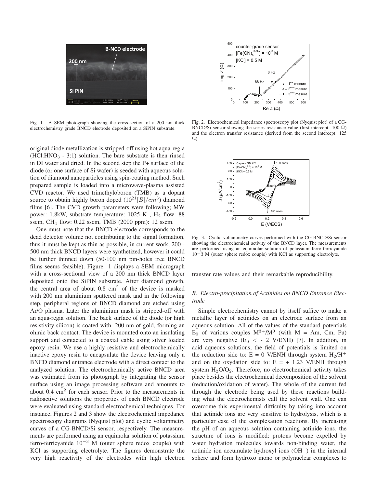

Fig. 1. A SEM photograph showing the cross-section of a 200 nm thick electrochemistry grade BNCD electrode deposited on a SiPIN substrate.

original diode metallization is stripped-off using hot aqua-regia  $(HCl: HNO<sub>3</sub> - 3:1)$  solution. The bare substrate is then rinsed in DI water and dried. In the second step the P+ surface of the diode (or one surface of Si wafer) is seeded with aqueous solution of diamond nanoparticles using spin-coating method. Such prepared sample is loaded into a microwave-plasma assisted CVD reactor. We used trimethyloboron (TMB) as a dopant source to obtain highly boron doped  $(10^{21} |B|/cm^3)$  diamond films [6]. The CVD growth parameters were following; MW power: 1.8kW, substrate temperature:  $1025$  K,  $H<sub>2</sub>$  flow: 88 sscm, CH<sup>4</sup> flow: 0.22 sscm, TMB (2000 ppm): 12 sscm.

One must note that the BNCD electrode corresponds to the dead detector volume not contributing to the signal formation, thus it must be kept as thin as possible, in current work, 200 - 500 nm thick BNCD layers were synthetized, however it could be further thinned down (50-100 nm pin-holes free BNCD films seems feasible). Figure 1 displays a SEM micrograph with a cross-sectional view of a 200 nm thick BNCD layer deposited onto the SiPIN substrate. After diamond growth, the central area of about  $0.8 \text{ cm}^2$  of the device is masked with 200 nm aluminium sputtered mask and in the following step, peripheral regions of BNCD diamond are etched using Ar/O plasma. Later the aluminium mask is stripped-off with an aqua-regia solution. The back surface of the diode (or high resistivity silicon) is coated with 200 nm of gold, forming an ohmic back contact. The device is mounted onto an insulating support and contacted to a coaxial cable using silver loaded epoxy resin. We use a highly resistive and electrochemically inactive epoxy resin to encapsulate the device leaving only a BNCD diamond entrance electrode with a direct contact to the analyzed solution. The electrochemically active BNCD area was estimated from its photograph by integrating the sensor surface using an image processing software and amounts to about  $0.4 \text{ cm}^2$  for each sensor. Prior to the measurements in radioactive solutions the properties of each BNCD electrode were evaluated using standard electrochemical techniques. For instance, Figures 2 and 3 show the electrochemical impedance spectroscopy diagrams (Nyquist plot) and cyclic voltammetry curves of a CG-BNCD/Si sensor, respectively. The measurements are performed using an equimolar solution of potassium ferro-ferricyanide  $10^{-3}$  M (outer sphere redox couple) with KCl as supporting electrolyte. The figures demonstrate the very high reactivity of the electrodes with high electron



Fig. 2. Electrochemical impedance spectroscopy plot (Nyquist plot) of a CG-BNCD/Si sensor showing the series resistance value (first intercept 100  $\Omega$ ) and the electron transfer resistance (derived from the second intercept 125 Ω).



Fig. 3. Cyclic voltammetry curves performed with the CG-BNCD/Si sensor showing the electrochemical activity of the BNCD layer. The measurements are performed using an equimolar solution of potassium ferro-ferricyanide 10−3 M (outer sphere redox couple) with KCl as supporting electrolyte.

transfer rate values and their remarkable reproducibility.

#### *B. Electro-precipitation of Actinides on BNCD Entrance Electrode*

Simple electrochemistry cannot by itself suffice to make a metallic layer of actinides on an electrode surface from an aqueous solution. All of the values of the standard potentials  $E_0$  of various couples  $M^{3+}/M^0$  (with  $M = Am$ , Cm, Pu) are very negative  $(E_0 < -2$  V/ENH) [7]. In addition, in acid aqueous solutions, the field of potentials is limited on the reduction side to: E = 0 V/ENH through system  $H_2/H^+$ and on the oxydation side to:  $E = + 1.23$  V/ENH through system  $H<sub>2</sub>O/O<sub>2</sub>$ . Therefore, no electrochemical activity takes place besides the electrochemical decomposition of the solvent (reduction/oxidation of water). The whole of the current fed through the electrode being used by these reactions building what the electrochemists call the solvent wall. One can overcome this experimental difficulty by taking into account that actinide ions are very sensitive to hydrolysis, which is a particular case of the complexation reactions. By increasing the pH of an aqueous solution containing actinide ions, the structure of ions is modified: protons become expelled by water hydration molecules towards non-binding water, the actinide ion accumulate hydroxyl ions (OH−) in the internal sphere and form hydroxo mono or polynuclear complexes to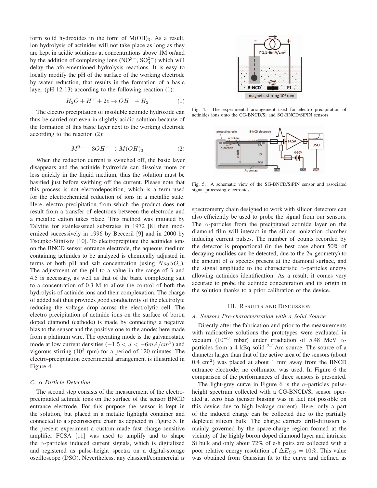form solid hydroxides in the form of  $M(OH)<sub>3</sub>$ . As a result, ion hydrolysis of actinides will not take place as long as they are kept in acidic solutions at concentrations above 1M or/and by the addition of complexing ions  $(NO<sup>3−</sup>, SO<sub>4</sub><sup>2−</sup>)$  which will delay the aforementioned hydrolysis reactions. It is easy to locally modify the pH of the surface of the working electrode by water reduction, that results in the formation of a basic layer (pH 12-13) according to the following reaction (1):

$$
H_2O + H^+ + 2e \to OH^- + H_2 \tag{1}
$$

The electro precipitation of insoluble actinide hydroxide can thus be carried out even in slightly acidic solution because of the formation of this basic layer next to the working electrode according to the reaction (2):

$$
M^{3+} + 3OH^- \rightarrow M(OH)_3
$$
 (2)

When the reduction current is switched off, the basic layer disappears and the actinide hydroxide can dissolve more or less quickly in the liquid medium, thus the solution must be basified just before swithing off the current. Please note that this process is not electrodeposition, which is a term used for the electrochemical reduction of ions in a metallic state. Here, electro precipitation from which the product does not result from a transfer of electrons between the electrode and a metallic cation takes place. This method was initiated by Talvitie for stainlesssteel substrates in 1972 [8] then modernized successively in 1996 by Becceril [9] and in 2000 by Tsoupko-Sitnikov [10]. To electroprcipitate the actinides ions on the BNCD sensor entrance electrode, the aqueous medium containing actinides to be analyzed is chemically adjusted in terms of both pH and salt concentration (using  $Na<sub>2</sub>SO<sub>4</sub>$ ). The adjustment of the pH to a value in the range of 3 and 4.5 is necessary, as well as that of the basic complexing salt to a concentration of 0.3 M to allow the control of both the hydrolysis of actinide ions and their complexation. The charge of added salt thus provides good conductivity of the electrolyte reducing the voltage drop across the electrolytic cell. The electro precipitation of actinide ions on the surface of boron doped diamond (cathode) is made by connecting a negative bias to the sensor and the positive one to the anode; here made from a platinum wire. The operating mode is the galvanostatic mode at low current densities  $(-1.5 < J < -6mA/cm^2)$  and vigorous stirring  $(10^3 \text{ rpm})$  for a period of 120 minutes. The electro-precipitation experimental arrangement is illustrated in Figure 4

#### *C.* α *Particle Detection*

The second step consists of the measurement of the electroprecipitated actinide ions on the surface of the sensor BNCD entrance electrode. For this purpose the sensor is kept in the solution, but placed in a metalic lightight container and connected to a spectroscopic chain as depicted in Figure 5. In the present experiment a custom made fast charge sensitive amplifier FCSA [11] was used to amplify and to shape the  $\alpha$ -particles induced current signals, which is digitalized and registered as pulse-height spectra on a digital-storage oscilloscope (DSO). Nevertheless, any classical/commercial  $\alpha$ 



Fig. 4. The experimental arrangement used for electro precipitation of actinides ions onto the CG-BNCD/Si and SG-BNCD/SiPIN sensors



Fig. 5. A schematic view of the SG-BNCD/SiPIN sensor and associated signal processing electronics

spectrometry chain designed to work with silicon detectors can also efficiently be used to probe the signal from our sensors. The  $\alpha$ -particles from the precipitated actinide layer on the diamond film will interact in the silicon ionization chamber inducing current pulses. The number of counts recorded by the detector is proportional (in the best case about 50% of decaying nuclides can be detected, due to the  $2\pi$  geometry) to the amount of  $\alpha$  species present at the diamond surface, and the signal amplitude to the characteristic  $\alpha$ -particles energy allowing actinides identification. As a result, it comes very accurate to probe the actinide concentration and its origin in the solution thanks to a prior calibration of the device.

#### III. RESULTS AND DISCUSSION

#### *A. Sensors Pre-characterization with a Solid Source*

Directly after the fabrication and prior to the measurements with radioactive solutions the prototypes were evaluated in vacuum (10<sup>-3</sup> mbar) under irradiation of 5.48 MeV  $\alpha$ particles from a 4 kBq solid  $^{241}$ Am source. The source of a diameter larger than that of the active area of the sensors (about  $0.4 \text{ cm}^2$ ) was placed at about 1 mm away from the BNCD entrance electrode, no collimator was used. In Figure 6 the comparison of the performances of three sensors is presented.

The light-grey curve in Figure 6 is the  $\alpha$ -particles pulseheight spectrum collected with a CG-BNCD/Si sensor operated at zero bias (sensor biasing was in fact not possible on this device due to high leakage current). Here, only a part of the induced charge can be collected due to the partially depleted silicon bulk. The charge carriers drift-diffusion is mainly governed by the space-charge region formed at the vicinity of the highly boron doped diamond layer and intrinsic Si bulk and only about 72% of e-h pairs are collected with a poor relative energy resolution of  $\Delta E_{CG} = 10\%$ . This value was obtained from Gaussian fit to the curve and defined as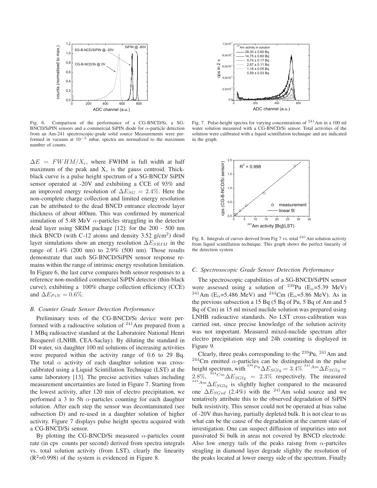

Fig. 6. Comparison of the performance of a CG-BNCD/Si, a SG-BNCD/SiPIN sensors and a commercial SiPIN diode for  $\alpha$ -particle detection from an Am-241 spectroscopic-grade solid source Measurements were performed in vacuum at  $10^{-3}$  mbar, spectra are normalized to the maximum number of counts.

 $\Delta E = FWHM/X_c$ , where FWHM is full width at half maximum of the peak and  $X_c$  is the gauss centroid. Thickblack curve is a pulse height spectrum of a SG-BNCD/ SiPIN sensor operated at -20V and exhibiting a CCE of 93% and an improved energy resolution of  $\Delta E_{SG} = 2.4\%$ . Here the non-complete charge collection and limited energy resolution can be attributed to the dead BNCD entrance electrode layer thickness of about 400nm. This was confirmed by numerical simulation of 5.48 MeV  $\alpha$ -particles straggling in the detector dead layer using SRIM package [12]: for the 200 - 500 nm thick BNCD (with C-12 atoms and density  $3.52$  g/cm<sup>2</sup>) dead layer simulations show an energy resolution  $\Delta E_{SRIM}$  in the range of 1.4% (200 nm) to 2.9% (500 nm). Those results demonstrate that such SG-BNCD/SiPIN sensor response remains within the range of intrinsic energy resolution limitation. In Figure 6, the last curve compares both sensor responses to a reference non-modified commercial SiPIN detector (thin-black curve), exhibiting a 100% charge collection efficiency (CCE) and  $\Delta E_{PiN} = 0.6\%.$ 

#### *B. Counter Grade Sensor Detection Performance*

Preliminary tests of the CG-BNCD/Si device were performed with a radioactive solution of  $241$ Am prepared from a 1 MBq radioactive standard at the Laboratoire National Henri Becquerel (LNHB, CEA-Saclay). By diluting the standard in DI water, six daughter 100 ml solutions of increasing activities were prepared within the activity range of 0.6 to 29 Bq. The total  $\alpha$  activity of each daughter solution was crosscalibrated using a Liquid Scintillation Technique (LST) at the same laboratory [13]. The precise activities values including measurement uncertainties are listed in Figure 7. Starting from the lowest activity, after 120 min of electro precipitation, we performed a 3 to 5h  $\alpha$ -particles counting for each daughter solution. After each step the sensor was decontaminated (see subsection D) and re-used in a daughter solution of higher activity. Figure 7 displays pulse height spectra acquired with a CG-BNCD/Si sensor.

By plotting the CG-BNCD/Si measured  $\alpha$ -particles count rate (in cps counts per second) derived from spectra integrals vs. total solution activity (from LST), clearly the linearity  $(R^2=0.998)$  of the system is evidenced in Figure 8.



Fig. 7. Pulse-height spectra for varying concentrations of <sup>241</sup>Am in a 100 ml water solution measured with a CG-BNCD/Si sensor. Total activities of the solution were calibrated with a liquid scintillation technique and are indicated in the graph.



Fig. 8. Integrals of curves derived from Fig 7 vs. total  $241$  Am solution activity from liquid scintillation technique. This graph shows the perfect linearity of the detection system

#### *C. Spectrosocopic Grade Sensor Detection Performance*

The spectroscopic capabilities of a SG-BNCD/SiPIN sensor were assessed using a solution of <sup>239</sup>Pu ( $E_{\alpha}$ =5.39 MeV) <sup>241</sup>Am (E<sub>α</sub>=5.486 MeV) and <sup>244</sup>Cm (E<sub>α</sub>=5.86 MeV). As in the previous subsection a 15 Bq (5 Bq of Pu, 5 Bq of Am and 5 Bq of Cm) in 15 ml mixed nuclide solution was prepared using LNHB radioactive standards. No LST cross-calibration was carried out, since precise knowledge of the solution activity was not important. Measured mixed-nuclide spectrum after electro precipitation step and 24h counting is displayed in Figure 9.

Clearly, three peaks corresponding to the <sup>239</sup>Pu, <sup>241</sup>Am and  $244$ Cm emitted  $\alpha$ -particles can be distinguished in the pulse height spectrum, with  $^{^{239}Pu}\Delta E_{SGlq} = 3.4\%$   $^{^{241}Am}\Delta E_{SGlq} =$ 2.8%, <sup>244</sup>Cm $\Delta E_{SGlq}$  = 2.3% respectively. The measured <sup>241</sup>Am $\Delta E_{SGlq}$  is slightly higher compared to the measured one  $\Delta E_{SGsd}$  (2.4%) with the <sup>241</sup>Am solid source and we tentatively attribute this to the observed degradation of SiPIN bulk resistivity. This sensor could not be operated at bias value of -20V thus having, partially depleted bulk. It is not clear to us what can be the cause of the degradation at the current state of investigation. One can suspect diffusion of impurities into not passivated Si bulk in areas not covered by BNCD electrode. Also low energy tails of the peaks raisng from  $\alpha$ -partciles stragling in diamond layer degrade slighlty the resolution of the peaks located at lower energy side of the spectrum. Finally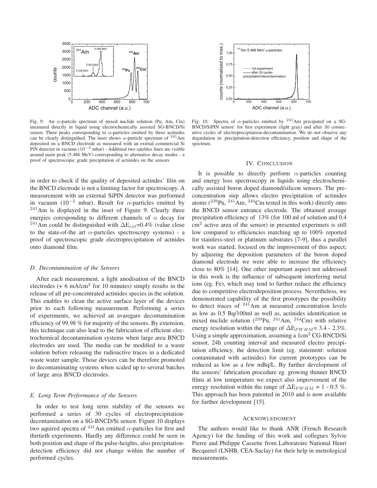

Fig. 9. An  $\alpha$ -partcile spectrum of mixed nuclide solution (Pu, Am, Cm) measured directly in liquid using electrochemically assisted SG-BNCD/Si sensor. Three peaks corresponding to  $\alpha$ -particles emitted by three actinides can be clearly distinguihed. The inset shows  $\alpha$ -particle spectrum of <sup>241</sup>Am deposited on a BNCD electrode as measured with an extrnal commercial Si PiN detector in vacuum (10−<sup>3</sup> mbar) - Additinal two satelites lines are visible around main peak (5.486 MeV) corresponding to alternative decay modes - a proof of spectroscopic grade precipitation of actinides on the sensors

in order to check if the quality of deposited actindes' film on the BNCD electrode is not a limiting factor for spectroscopy. A measurement with an external SiPIN detector was performed in vacuum (10<sup>-3</sup> mbar). Result for  $\alpha$ -particles emitted by <sup>241</sup>Am is displayed in the inset of Figure 9. Clearly three energies coresponding to different channels of  $\alpha$  decay for <sup>241</sup>Am could be distinguished with  $\Delta E_{ext}$ =0.4% (value close to the state-of-the art  $\alpha$ -partciles spectroscopy systems) - a proof of spectroscopic grade electroprecipitation of actnides onto diamond film.

#### *D. Decontamination of the Sensors*

After each measurement, a light anodisation of the BNCD electrodes  $(+ 6 \text{ mA/cm}^2$  for 10 minutes) simply results in the release of all pre-concentrated actinides species in the solution. This enables to clean the active surface layer of the devices prior to each following measurement. Performing a series of experiments, we achieved an avaregare decontamination efficiency of 99.98 % for majority of the sensors. By extension, this technique can also lead to the fabrication of efficient electrochemical decontamination systems when large area BNCD electrodes are used. The media can be modified to a waste solution before releasing the radioactive traces in a dedicated waste water sample. Those devices can be therefore promoted to decontaminating systems when scaled up to several batches of large area BNCD electrodes.

#### *E. Long Term Performance of the Sensors*

In order to test long term stability of the sensors we performed a series of 30 cycles of electroprecipitationdecontamination on a SG-BNCD/Si sensor. Figure 10 displays two aquired spectra of  $^{241}$ Am emitted  $\alpha$ -partciles for first and thirtieth experiments. Hardly any difference could be seen in both position and shape of the pulse-heights, also precipitationdetection efficiency did not change within the number of performed cycles.



Fig. 10. Spectra of  $\alpha$ -particles emitted by <sup>241</sup>Am precipated on a SG-BNCD/SiPIN sensor: for first experiment (light gray) and after 30 consecutive cycles of electroprecipitation-decontamination. We do not observe any degardation in: precipitation-detection efficiency, position and shape of the spectrum.

#### IV. CONCLUSION

It is possible to directly perform  $\alpha$ -particles counting and energy loss spectroscopy in liquids using electrochemically assisted boron doped diamond/silicon sensors. The preconcentration step allows electro precipitation of actinides atoms  $(^{239}$ Pu,  $^{241}$ Am,  $^{244}$ Cm tested in this work) directly onto the BNCD sensor entrance electrode. The obtained average precipitation efficiency of 13% (for 100 ml of solution and 0.4  $\text{cm}^2$  active area of the sensor) in presented experimets is still low compared to efficiencies matching up to 100% reported for stainless-steel or platinum substrates [7-9], thus a parallel work was started, focused on the improvement of this aspect; by adjusting the deposition parameters of the boron doped diamond electrode we were able to increase the efficiency close to 80% [14]. One other important aspect not addressed in this work is the influence of subsequent interfering metal ions (eg. Fe), which may tend to further reduce the efficiency due to competitive electrodeposition process. Nevertheless, we demonstrated capability of the first prototypes the possibility to detect traces of  $241$  Am at measured concentration levels as low as 0.5 Bq/100ml as well as, actinides identification in mixed nuclide solution  $(^{239}Pu, ^{241}Am, ^{244}Cm)$  with relative energy resolution within the range of  $\Delta E_{FWHM}$  = 3.4 - 2.3%. Using a simple approximation, assuming a 1cm<sup>2</sup> CG-BNCD/Si sensor, 24h counting interval and measured electro precipitation efficiency, the detection limit (eg. statement: solution contaminated with actinides) for current prototypes can be reduced as low as a few mBq/L. By further development of the sensors' fabrication procedure eg. growing thinner BNCD films at low temperature we expect also improvement of the enregy resolution within the range of  $\Delta E_{FWHM} = 1 - 0.5$  %. This approach has been patented in 2010 and is now available for further development [15].

#### ACKNOWLEDGMENT

The authors would like to thank ANR (French Research Agency) for the funding of this work and collegues Sylvie Pierre and Philippe Cassette from Laboratoire National Henri Becquerel (LNHB, CEA-Saclay) for their help in metrological measurements.